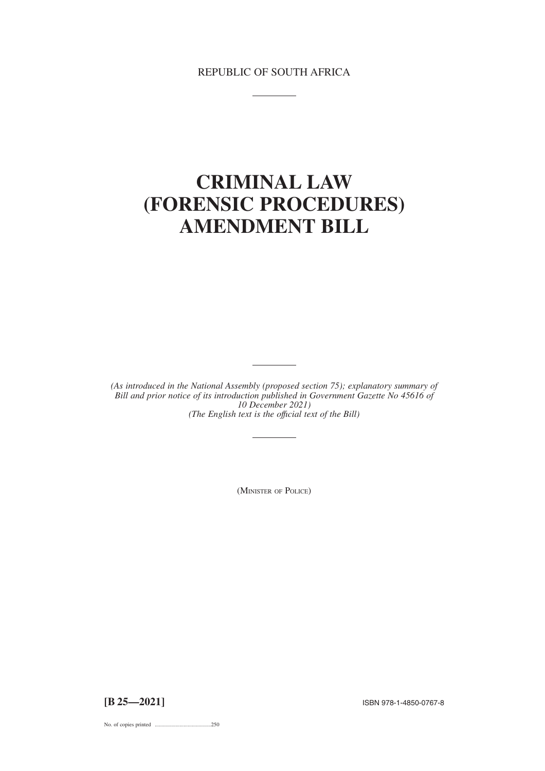# REPUBLIC OF SOUTH AFRICA

# **CRIMINAL LAW (FORENSIC PROCEDURES) AMENDMENT BILL**

*(As introduced in the National Assembly (proposed section 75); explanatory summary of Bill and prior notice of its introduction published in Government Gazette No 45616 of 10 December 2021) (The English text is the offıcial text of the Bill)*

(MINISTER OF POLICE)

**[B 25—2021]** ISBN 978-1-4850-0767-8

No. of copies printed .........................................250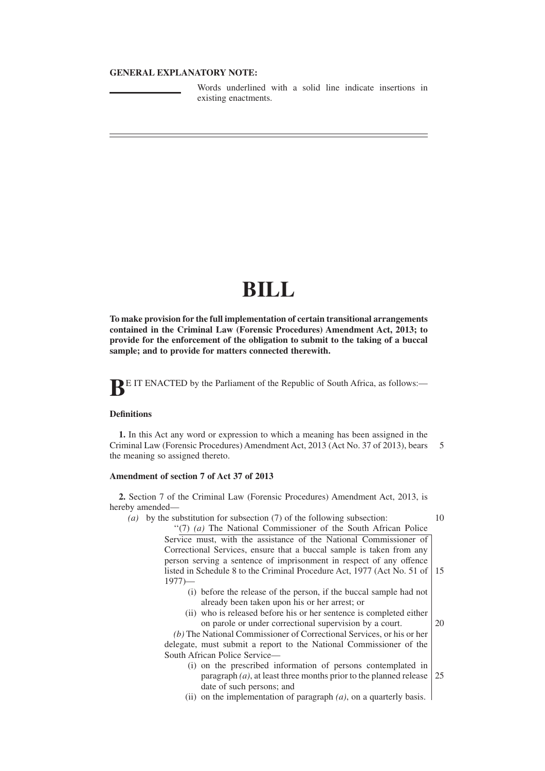# **GENERAL EXPLANATORY NOTE:**

Words underlined with a solid line indicate insertions in existing enactments.

# **BILL**

**To make provision for the full implementation of certain transitional arrangements contained in the Criminal Law (Forensic Procedures) Amendment Act, 2013; to provide for the enforcement of the obligation to submit to the taking of a buccal sample; and to provide for matters connected therewith.**

**BE IT ENACTED** by the Parliament of the Republic of South Africa, as follows:-

# **Definitions**

**1.** In this Act any word or expression to which a meaning has been assigned in the Criminal Law (Forensic Procedures) Amendment Act, 2013 (Act No. 37 of 2013), bears the meaning so assigned thereto. 5

### **Amendment of section 7 of Act 37 of 2013**

**2.** Section 7 of the Criminal Law (Forensic Procedures) Amendment Act, 2013, is hereby amended—

*(a)* by the substitution for subsection (7) of the following subsection:

10

''(7) *(a)* The National Commissioner of the South African Police Service must, with the assistance of the National Commissioner of Correctional Services, ensure that a buccal sample is taken from any person serving a sentence of imprisonment in respect of any offence listed in Schedule 8 to the Criminal Procedure Act, 1977 (Act No. 51 of 1977)— 15

- (i) before the release of the person, if the buccal sample had not already been taken upon his or her arrest; or
- (ii) who is released before his or her sentence is completed either on parole or under correctional supervision by a court. 20

*(b)* The National Commissioner of Correctional Services, or his or her delegate, must submit a report to the National Commissioner of the South African Police Service—

- (i) on the prescribed information of persons contemplated in paragraph *(a)*, at least three months prior to the planned release date of such persons; and 25
- (ii) on the implementation of paragraph *(a)*, on a quarterly basis.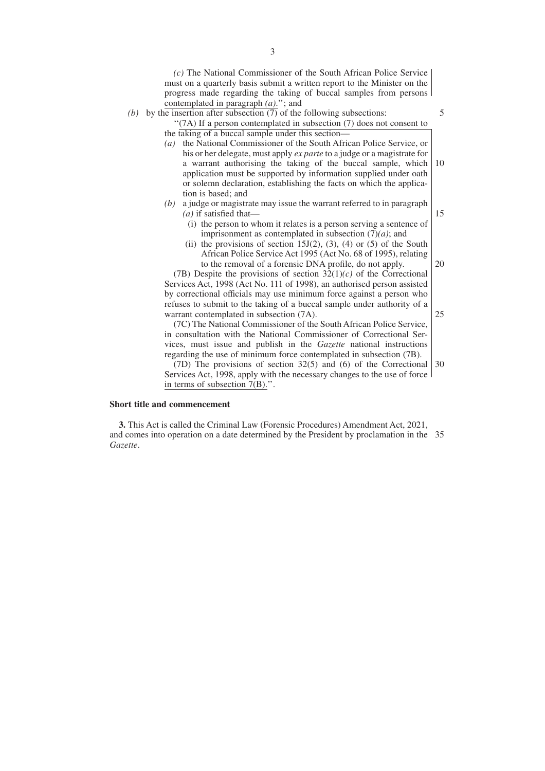*(c)* The National Commissioner of the South African Police Service must on a quarterly basis submit a written report to the Minister on the progress made regarding the taking of buccal samples from persons contemplated in paragraph *(a)*.''; and

5

15

20

25

*(b)* by the insertion after subsection  $\overline{(7)}$  of the following subsections:

''(7A) If a person contemplated in subsection (7) does not consent to the taking of a buccal sample under this section—

- *(a)* the National Commissioner of the South African Police Service, or his or her delegate, must apply *ex parte* to a judge or a magistrate for a warrant authorising the taking of the buccal sample, which application must be supported by information supplied under oath or solemn declaration, establishing the facts on which the application is based; and 10
- *(b)* a judge or magistrate may issue the warrant referred to in paragraph *(a)* if satisfied that—
	- (i) the person to whom it relates is a person serving a sentence of imprisonment as contemplated in subsection (7)*(a)*; and
	- (ii) the provisions of section  $15J(2)$ , (3), (4) or (5) of the South African Police Service Act 1995 (Act No. 68 of 1995), relating to the removal of a forensic DNA profile, do not apply.

(7B) Despite the provisions of section 32(1)*(c)* of the Correctional Services Act, 1998 (Act No. 111 of 1998), an authorised person assisted by correctional officials may use minimum force against a person who refuses to submit to the taking of a buccal sample under authority of a warrant contemplated in subsection (7A).

(7C) The National Commissioner of the South African Police Service, in consultation with the National Commissioner of Correctional Services, must issue and publish in the *Gazette* national instructions regarding the use of minimum force contemplated in subsection (7B).

(7D) The provisions of section 32(5) and (6) of the Correctional Services Act, 1998, apply with the necessary changes to the use of force in terms of subsection 7(B).''. 30

#### **Short title and commencement**

**3.** This Act is called the Criminal Law (Forensic Procedures) Amendment Act, 2021, and comes into operation on a date determined by the President by proclamation in the 35*Gazette*.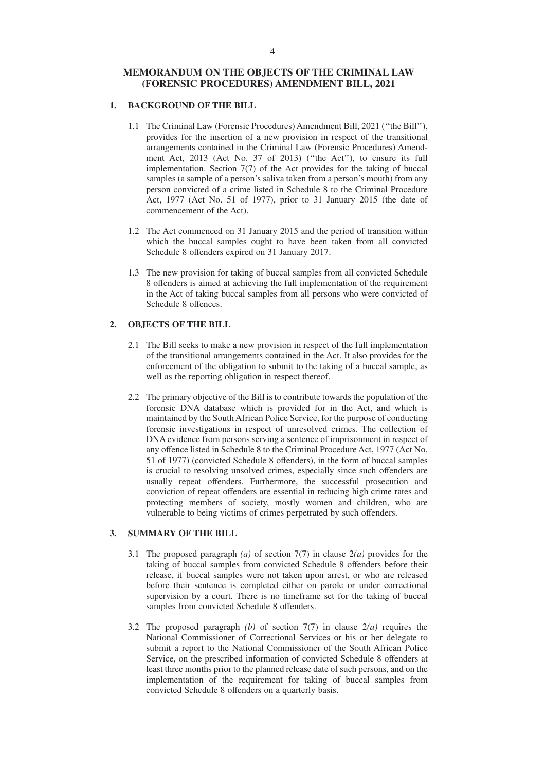# **MEMORANDUM ON THE OBJECTS OF THE CRIMINAL LAW (FORENSIC PROCEDURES) AMENDMENT BILL, 2021**

# **1. BACKGROUND OF THE BILL**

- 1.1 The Criminal Law (Forensic Procedures) Amendment Bill, 2021 (''the Bill''), provides for the insertion of a new provision in respect of the transitional arrangements contained in the Criminal Law (Forensic Procedures) Amendment Act, 2013 (Act No. 37 of 2013) (''the Act''), to ensure its full implementation. Section 7(7) of the Act provides for the taking of buccal samples (a sample of a person's saliva taken from a person's mouth) from any person convicted of a crime listed in Schedule 8 to the Criminal Procedure Act, 1977 (Act No. 51 of 1977), prior to 31 January 2015 (the date of commencement of the Act).
- 1.2 The Act commenced on 31 January 2015 and the period of transition within which the buccal samples ought to have been taken from all convicted Schedule 8 offenders expired on 31 January 2017.
- 1.3 The new provision for taking of buccal samples from all convicted Schedule 8 offenders is aimed at achieving the full implementation of the requirement in the Act of taking buccal samples from all persons who were convicted of Schedule 8 offences.

### **2. OBJECTS OF THE BILL**

- 2.1 The Bill seeks to make a new provision in respect of the full implementation of the transitional arrangements contained in the Act. It also provides for the enforcement of the obligation to submit to the taking of a buccal sample, as well as the reporting obligation in respect thereof.
- 2.2 The primary objective of the Bill is to contribute towards the population of the forensic DNA database which is provided for in the Act, and which is maintained by the South African Police Service, for the purpose of conducting forensic investigations in respect of unresolved crimes. The collection of DNA evidence from persons serving a sentence of imprisonment in respect of any offence listed in Schedule 8 to the Criminal Procedure Act, 1977 (Act No. 51 of 1977) (convicted Schedule 8 offenders), in the form of buccal samples is crucial to resolving unsolved crimes, especially since such offenders are usually repeat offenders. Furthermore, the successful prosecution and conviction of repeat offenders are essential in reducing high crime rates and protecting members of society, mostly women and children, who are vulnerable to being victims of crimes perpetrated by such offenders.

#### **3. SUMMARY OF THE BILL**

- 3.1 The proposed paragraph *(a)* of section 7(7) in clause 2*(a)* provides for the taking of buccal samples from convicted Schedule 8 offenders before their release, if buccal samples were not taken upon arrest, or who are released before their sentence is completed either on parole or under correctional supervision by a court. There is no timeframe set for the taking of buccal samples from convicted Schedule 8 offenders.
- 3.2 The proposed paragraph *(b)* of section 7(7) in clause 2*(a)* requires the National Commissioner of Correctional Services or his or her delegate to submit a report to the National Commissioner of the South African Police Service, on the prescribed information of convicted Schedule 8 offenders at least three months prior to the planned release date of such persons, and on the implementation of the requirement for taking of buccal samples from convicted Schedule 8 offenders on a quarterly basis.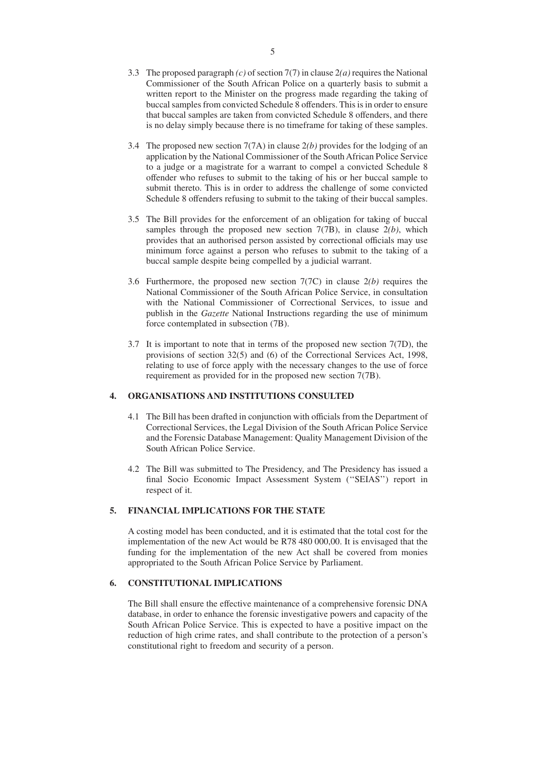- 3.3 The proposed paragraph *(c)* of section 7(7) in clause 2*(a)* requires the National Commissioner of the South African Police on a quarterly basis to submit a written report to the Minister on the progress made regarding the taking of buccal samples from convicted Schedule 8 offenders. This is in order to ensure that buccal samples are taken from convicted Schedule 8 offenders, and there is no delay simply because there is no timeframe for taking of these samples.
- 3.4 The proposed new section 7(7A) in clause 2*(b)* provides for the lodging of an application by the National Commissioner of the South African Police Service to a judge or a magistrate for a warrant to compel a convicted Schedule 8 offender who refuses to submit to the taking of his or her buccal sample to submit thereto. This is in order to address the challenge of some convicted Schedule 8 offenders refusing to submit to the taking of their buccal samples.
- 3.5 The Bill provides for the enforcement of an obligation for taking of buccal samples through the proposed new section 7(7B), in clause 2*(b)*, which provides that an authorised person assisted by correctional officials may use minimum force against a person who refuses to submit to the taking of a buccal sample despite being compelled by a judicial warrant.
- 3.6 Furthermore, the proposed new section 7(7C) in clause 2*(b)* requires the National Commissioner of the South African Police Service, in consultation with the National Commissioner of Correctional Services, to issue and publish in the *Gazette* National Instructions regarding the use of minimum force contemplated in subsection (7B).
- 3.7 It is important to note that in terms of the proposed new section 7(7D), the provisions of section 32(5) and (6) of the Correctional Services Act, 1998, relating to use of force apply with the necessary changes to the use of force requirement as provided for in the proposed new section 7(7B).

## **4. ORGANISATIONS AND INSTITUTIONS CONSULTED**

- 4.1 The Bill has been drafted in conjunction with officials from the Department of Correctional Services, the Legal Division of the South African Police Service and the Forensic Database Management: Quality Management Division of the South African Police Service.
- 4.2 The Bill was submitted to The Presidency, and The Presidency has issued a final Socio Economic Impact Assessment System (''SEIAS'') report in respect of it.

## **5. FINANCIAL IMPLICATIONS FOR THE STATE**

A costing model has been conducted, and it is estimated that the total cost for the implementation of the new Act would be R78 480 000,00. It is envisaged that the funding for the implementation of the new Act shall be covered from monies appropriated to the South African Police Service by Parliament.

#### **6. CONSTITUTIONAL IMPLICATIONS**

The Bill shall ensure the effective maintenance of a comprehensive forensic DNA database, in order to enhance the forensic investigative powers and capacity of the South African Police Service. This is expected to have a positive impact on the reduction of high crime rates, and shall contribute to the protection of a person's constitutional right to freedom and security of a person.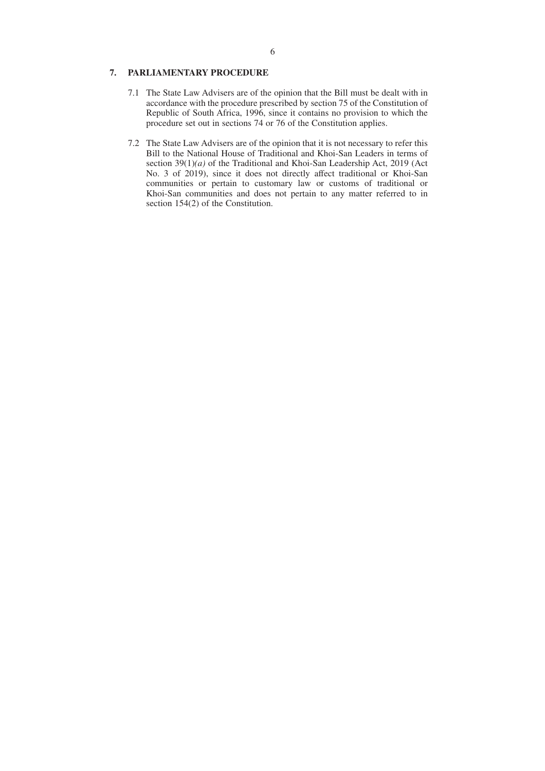### **7. PARLIAMENTARY PROCEDURE**

- 7.1 The State Law Advisers are of the opinion that the Bill must be dealt with in accordance with the procedure prescribed by section 75 of the Constitution of Republic of South Africa, 1996, since it contains no provision to which the procedure set out in sections 74 or 76 of the Constitution applies.
- 7.2 The State Law Advisers are of the opinion that it is not necessary to refer this Bill to the National House of Traditional and Khoi-San Leaders in terms of section 39(1)*(a)* of the Traditional and Khoi-San Leadership Act, 2019 (Act No. 3 of 2019), since it does not directly affect traditional or Khoi-San communities or pertain to customary law or customs of traditional or Khoi-San communities and does not pertain to any matter referred to in section 154(2) of the Constitution.